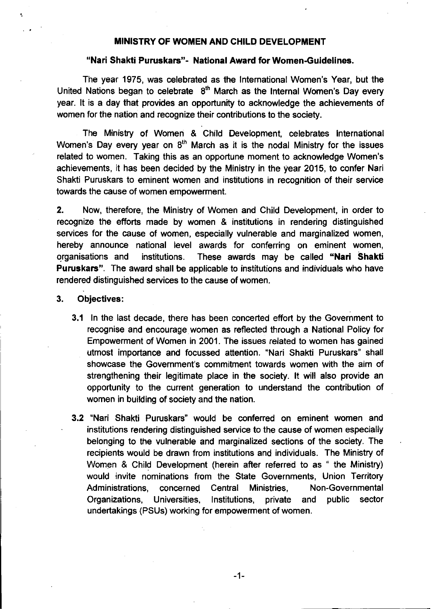#### MINISTRY OF WOMEN AND CHILD DEVELOPMENT

### "Nari Shakti Puruskars"- National Award for Women-Guidelines.

The year 1975, was celebrated as the International Women's Year, but the United Nations began to celebrate  $8<sup>th</sup>$  March as the Internal Women's Day every year. It is a day that provides an opportunity to acknowledge the achievements of women for the nation and recognize their contributions to the society.

The Ministry of Women & Child Development, celebrates International Women's Day every year on  $8<sup>th</sup>$  March as it is the nodal Ministry for the issues related to women. Taking this as an opportune moment to acknowledge Women's achievements, it has been decided by the Ministry in the year 2015, to confer Nari Shakti Puruskars to eminent women and institutions in recognition of their service towards the cause of women empowerment.

2. Now, therefore, the Ministry of Women and Child Development, in order to recognize the efforts made by women & institutions in rendering distinguished services for the cause of women, especially vulnerable and marginalized women, hereby announce national level awards for conferring on eminent women, organisations and institutions. These awards may be called "Nari Shakti Puruskars". The award shall be applicable to institutions and individuals who have rendered distinguished services to the cause of women.

#### 3. Objectives:

'.

- 3.1 In the last decade, there has been concerted effort by the Government to recognise and encourage women as reflected through a National Policy for Empowerment of Women in 2001. The issues related to women has gained utmost importance and focussed attention. "Nari Shakti Puruskars" shall showcase the Government's commitment towards women with the aim of strengthening their legitimate place in the society. It will also provide an opportunity to the current generation to understand the contribution of women in building of society and the nation.
- 3.2 "Nari Shakti Puruskars" would be conferred on eminent women and institutions rendering distinguished service to the cause of women especially belonging to the vulnerable and marginalized sections of the society. The recipients would be drawn from institutions and individuals. The Ministry of Women & Child Development (herein after referred to as " the Ministry) would invite nominations from the State Governments, Union Territory Administrations, concerned Central Ministries, Non-Governmental Organizations, Universities. Institutions, private and public sector undertakings (PSUs) working for empowerment of women.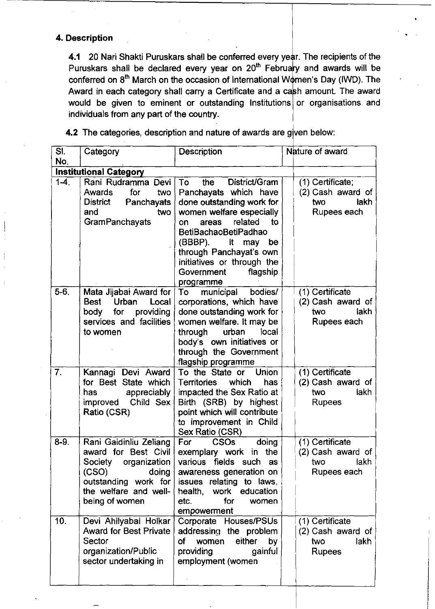### **4. Description**

-

**4.1** 20 Nari Shakti Puruskars shall be conferred every year. The recipients of the Puruskars shall be declared every year on  $20<sup>th</sup>$  February and awards will be conferred on  $8<sup>th</sup>$  March on the occasion of International Women's Day (IWD). The Award in each category shall carry a Certificate and a cash amount. The award would be given to eminent or outstanding Institutions or organisations and individuals from any part of the country.

**4.2** The categories, description and nature of awards are given below:

| SI.       | Category                                                                                                                                                       | <b>Description</b>                                                                                                                                                                                                                                                                                        | Nature of award                                                             |  |  |
|-----------|----------------------------------------------------------------------------------------------------------------------------------------------------------------|-----------------------------------------------------------------------------------------------------------------------------------------------------------------------------------------------------------------------------------------------------------------------------------------------------------|-----------------------------------------------------------------------------|--|--|
| No.       |                                                                                                                                                                |                                                                                                                                                                                                                                                                                                           |                                                                             |  |  |
|           | Institutional Category                                                                                                                                         |                                                                                                                                                                                                                                                                                                           |                                                                             |  |  |
| $1 - 4$ . | Rani Rudramma Devi<br>for<br><b>Awards</b><br>two<br>District<br>Panchayats<br>and<br>two<br><b>GramPanchayats</b>                                             | District/Gram<br>To<br>the<br>Panchayats which have<br>done outstanding work for<br>women welfare especially<br>related<br>to<br>areas<br>on<br><b>BetiBachaoBetiPadhao</b><br>(BBBP).<br>It<br>may<br>be<br>through Panchayat's own<br>initiatives or through the<br>flagship<br>Government<br>programme | (1) Certificate;<br>(2) Cash award of<br>lakh<br>two<br>Rupees each         |  |  |
| $5-6$ .   | Mata Jijabai Award for<br>Urban<br>Local<br>Best<br>providing<br>for<br>body<br>services and facilities<br>to women                                            | municipal<br>bodies/<br>To<br>corporations, which have<br>done outstanding work for<br>women welfare. It may be<br>urban<br>local<br>through<br>body's own initiatives or<br>through the Government<br>flagship programme                                                                                 | (1) Certificate<br>(2) Cash award of<br>iakh<br>two<br>Rupees each          |  |  |
| 7.        | Kannagi Devi Award<br>for Best State which<br>appreciably<br>has<br>improved Child Sex<br>Ratio (CSR)                                                          | <b>Union</b><br>To the State or<br>which<br><b>Territories</b><br>has<br>impacted the Sex Ratio at<br>Birth (SRB) by highest<br>point which will contribute<br>to improvement in Child<br>Sex Ratio (CSR)                                                                                                 | (1) Certificate<br>(2) Cash award of<br><b>lakh</b><br>two<br><b>Rupees</b> |  |  |
| $8-9.$    | Rani Gaidinliu Zeliang<br>award for Best Civil<br>organization<br>Society<br>(CSO)<br>doing<br>outstanding work for<br>the welfare and well-<br>being of women | For<br><b>CSOs</b><br>doing<br>exemplary work in the<br>various fields such as<br>awareness generation on<br>issues relating to laws,<br>health, work education<br>for<br>etc.<br>women<br>empowerment                                                                                                    | (1) Certificate<br>(2) Cash award of<br>two<br>lakh<br>Rupees each          |  |  |
| 10.       | Devi Ahilyabai Holkar<br><b>Award for Best Private</b><br>Sector<br>organization/Public<br>sector undertaking in                                               | Corporate Houses/PSUs<br>addressing the problem<br>of<br>either<br>women<br>by<br>providing<br>gainful<br>employment (women                                                                                                                                                                               | (1) Certificate<br>(2) Cash award of<br>lakh<br>two<br><b>Rupees</b>        |  |  |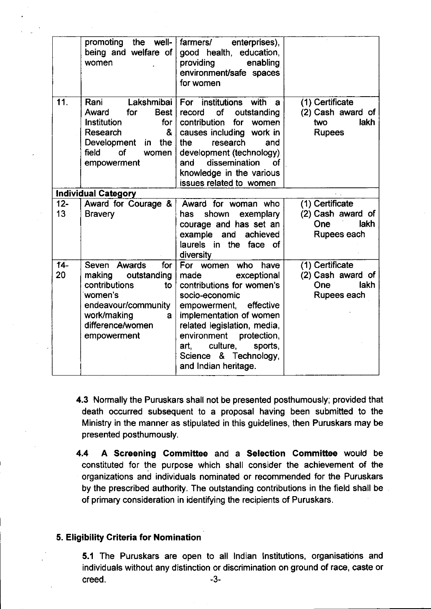|              | promoting the well-<br>being and welfare of<br>women                                                                                                         | enterprises),<br>farmers/<br>good health, education,<br>providing<br>enabling<br>environment/safe spaces<br>for women                                                                                                                                                                                    |                                                                             |
|--------------|--------------------------------------------------------------------------------------------------------------------------------------------------------------|----------------------------------------------------------------------------------------------------------------------------------------------------------------------------------------------------------------------------------------------------------------------------------------------------------|-----------------------------------------------------------------------------|
| 11.          | Lakshmibai<br>Rani<br>for<br><b>Best</b><br>Award<br>Institution<br>for<br>&<br>Research<br>Development<br>the<br>in<br>of<br>field<br>women<br>empowerment  | For institutions with<br>a<br>of<br>record<br>outstanding<br>contribution<br>for<br>women<br>causes including work in<br>research<br>the<br>and<br>development (technology).<br>dissemination<br>of<br>and<br>knowledge in the various<br>issues related to women                                        | (1) Certificate<br>(2) Cash award of<br><b>lakh</b><br>two<br><b>Rupees</b> |
|              | <b>Individual Category</b>                                                                                                                                   |                                                                                                                                                                                                                                                                                                          |                                                                             |
| $12 -$<br>13 | Award for Courage &<br><b>Bravery</b>                                                                                                                        | Award for woman who<br>shown<br>exemplary<br>has<br>courage and has set an<br>example and<br>achieved<br>laurels in the face of<br>diversity                                                                                                                                                             | (1) Certificate<br>(2) Cash award of<br>lakh<br>One<br>Rupees each          |
| $14 -$<br>20 | Seven Awards<br>for<br>making<br>outstanding<br>contributions<br>to<br>women's<br>endeavour/community<br>work/making<br>a<br>difference/women<br>empowerment | For women<br>who<br>have<br>exceptional<br>made<br>contributions for women's<br>socio-economic<br>effective<br>empowerment,<br>implementation of women<br>related legislation, media,<br>environment<br>protection.<br>culture,<br>sports,<br>art, a<br>& Technology,<br>Science<br>and Indian heritage. | (1) Certificate<br>(2) Cash award of<br>lakh<br>One<br>Rupees each          |

4.3 Normally the Puruskars shall not be presented posthumously; provided that death occurred subsequent to a proposal having been submitted to the Ministry in the manner as stipulated in this guidelines, then Puruskars may be presented posthumously.

4.4 A Screening Committee and a Selection Committee would be constituted for the purpose which shall consider the achievement of the organizations and individuals nominated or recommended for the Puruskars by the prescribed authority. The outstanding contributions in the field shall be of primary consideration in identifying the recipients of Puruskars.

### 5. Eligibility Criteria for Nomination

5.1 The Puruskars are open to all Indian Institutions, organisations and individuals without any distinction or discrimination on ground of race, caste or creed. -3-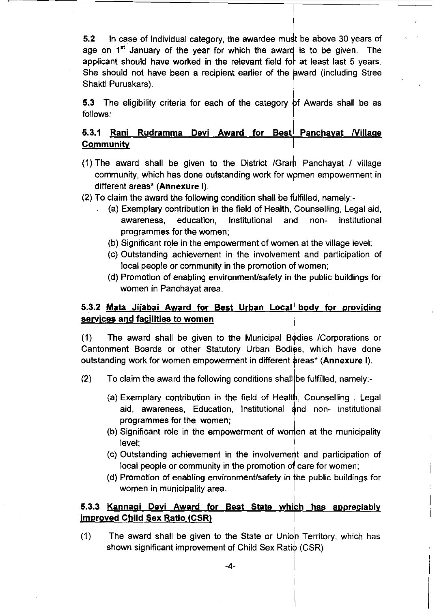5.2 In case of Individual category, the awardee must be above 30 years of age on  $1<sup>st</sup>$  January of the year for which the award is to be given. The applicant should have worked in the relevant field for at least last 5 years. She should not have been a recipient earlier of the award (including Stree Shakti Puruskars).

**5.3** The eligibility criteria for each of the category of Awards shall be as follows:

### 5.3.1 Rani Rudramma Devi Award for Best Panchayat Nillage **Community**

- (1) The award shall be given to the District /Gram Panchayat / village community, which has done outstanding work for women empowerment in different areas<sup>\*</sup> (Annexure I).<br>(2) To claim the award the following condition sh community, which has done outstanding work for women empowerment in different areas\* (Annexure I).
- $(2)$  To claim the award the following condition shall be fulfilled, namely:-
	- (a) Exemplary contribution in the field of Health, Counselling, Legal aid, awareness, education, Institutional and non- institutional programmes for the women;
	- (b) Significant role in the empowerment of women at the village level;
	- (c) Outstanding achievement in the involvement and participation of local people or community in the promotion of women;
	- (d) Promotion of enabling environment/safety in the public buildings for women in Panchayat area.

### 5.3.2 Mata Jijabai Award for Best Urban Local body for providing services and facilities to women

(1) The award shall be given to the Municipal Bodies / Corporations or Cantonment Boards or other Statutory Urban Bodies, which have done outstanding work for women empowerment in different areas\* (Annexure I).

- (2) To claim the award the following conditions shall be fulfilled, namely:-
	- (a) Exemplary contribution in the field of Health, Counselling, Legal aid, awareness, Education, Institutional and non- institutional Exemplary contribution in the field of Health, Couraid, awareness, Education, Institutional and in<br>programmes for the women;<br>Significant role in the amnousrment of warrior at
	- (b) Significant role in the empowerment of women at the municipality level;
	- (c) Outstanding achievement in the involvement and participation of local people or community in the promotion of care for women;
	- (d) Promotion of enabling environment/safety in the public buildings for women in municipality area.

### 5.3.3 Kannagi Devi Award for Best State which has appreciably improved Child Sex Ratio (CSR)

(1) The award shall be given to the State or Unioh Territory, which has shown significant improvement of Child Sex Ratio (CSR)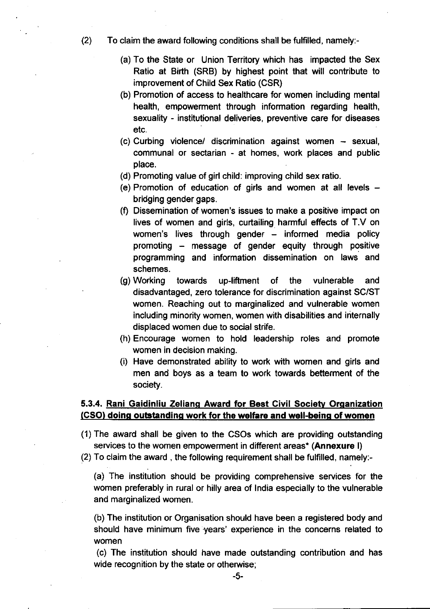(2) To claim the award following conditions shall be fulfilled, namely:-

- (a) To the State or Union Territory which has impacted the Sex Ratio at Birth (SRB) by highest point that will contribute to improvement of Child Sex Ratio (CSR)
- (b) Promotion of access to healthcare for women including mental health, empowerment through information regarding health, sexuality - institutional deliveries, preventive care for diseases etc.
- (c) Curbing violencel discrimination against women sexual, communal or sectarian - at homes, work places and public place.
- (d) Promoting value of girl child: improving child sex ratio.
- (e) Promotion of education of girls and women at all levels  $$ bridging gender gaps.
- (f) Dissemination of women's issues to make a positive impact on lives of women and girls, curtailing harmful effects of T.v on women's lives through gender  $-$  informed media policy promoting - message of gender equity through positive programming and information dissemination on laws and schemes.
- (g) Working towards up-liftment of the vulnerable and disadvantaged, zero tolerance for discrimination against SC/ST women. Reaching out to marginalized and vulnerable women including minority women, women with disabilities and internally displaced women due to social strife.
- (h) Encourage women to hold leadership roles and promote women in decision making.
- (i) Have demonstrated ability to work with women and girls and men and boys as a team to work towards betterment of the society.

### 5.3.4. Rani Gaidinliu Zeliang Award for Best Civil Society Organization (CSO) doing outstanding work for the welfare and well-being of women

(1) The award shall be given to the CSOs which are providing outstanding services to the women empowerment in different areas<sup>\*</sup> (Annexure I)

(2) To claim the award, the following requirement shall be fulfilled, namely:-

(a) The institution should be providing comprehensive services for the women preferably in rural or hilly area of India especially to the vulnerable and marginalized women.

(b) The institution or Organisation should have been a registered body and should have minimum five years' experience in the concerns related to women

(c) The institution should have made outstanding contribution and has wide recognition by the state or otherwise;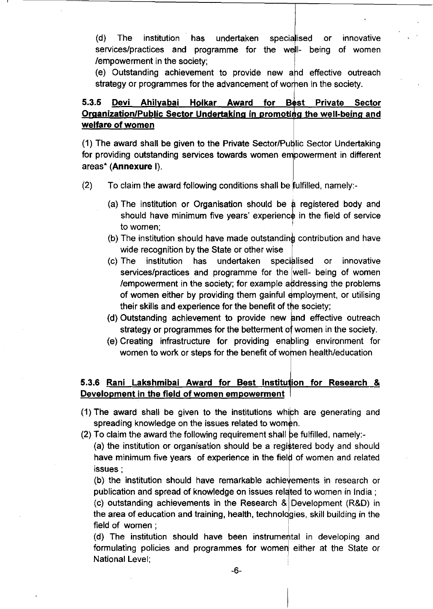(d) The institution has undertaken specialised or innovative services/practices and programme for the well- being of women /empowerment in the society;

(e) Outstanding achievement to provide new and effective outreach strategy or programmes for the advancement of worken in the society.

### 5.3.5 Devi Ahilyabai Holkar Award for Best Private Sector Organization/Public Sector Undertaking in promoting the well-being and welfare of women

(1) The award shall be given to the Private Sector/Public Sector Undertaking for providing outstanding services towards women empowerment in different areas' (Annexure I).

- $(2)$  To claim the award following conditions shall be fulfilled, namely:-
	- (a) The institution or Organisation should be  $\alpha$  registered body and should have minimum five years' experience in the field of service to women:
	- (b) The institution should have made outstanding contribution and have wide recognition by the State or other wise
	- (c) The institution has undertaken specialised or innovative services/practices and programme for the well- being of women /empowerment in the society; for example addressing the problems of women either by providing them gainful employment, or utilising their skills and experience for the benefit of the society;
	- (d) Outstanding achievement to provide new and effective outreach strategy or programmes for the betterment of women in the society.
	- (e) Creating infrastructure for providing enabling environment for women to work or steps for the benefit of women health/education

### 5.3.6 Rani Lakshmibai Award for Best Institution for Research & Development in the field of women empowerment

- $(1)$  The award shall be given to the institutions which are generating and spreading knowledge on the issues related to women.
- (2) To claim the award the following requirement shall be fulfilled, namely:-

(a) the institution or organisation should be a registered body and should have minimum five years of experience in the field of women and related issues;

(b) the institution should have remarkable achievements in research or publication and spread of knowledge on issues related to women in India; (c) outstanding achievements in the Research & Development (R&D) in

the area of education and training, health, technologies, skill building in the field of women :

(d) The institution should have been instrumental in developing and formulating policies and programmes for women either at the State or National Level; ,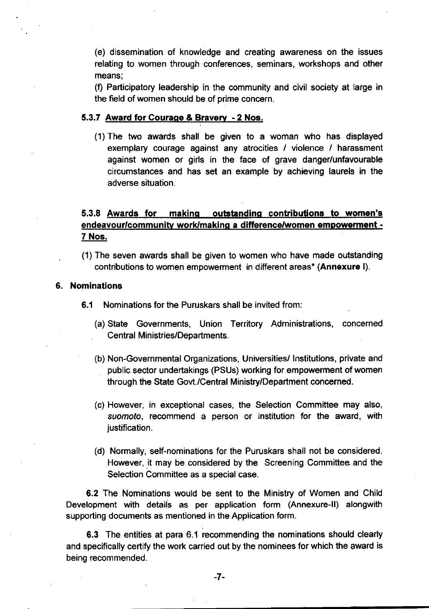(e) dissemination of knowledge and creating awareness on the issues relating to women through conferences, seminars, workshops and other means;

(f) Participatory leadership in the community and civil society at large in the field of women should be of prime concern.

#### 5.3.7 Award for Courage & Bravery - 2 Nos.

(1) The two awards shall be given to a woman who has displayed exemplary courage against any atrocities / violence / harassment against women or girls in the face of grave danger/unfavourable circumstances and has set an example by achieving laurels in the adverse situation.

### 5.3.8 Awards for making outstanding contributions to women's endeavour/communitv work/making a differencelwomen empowerment - 7 Nos.

(1) The seven awards shall be given to women who have made outstanding contributions to women empowerment in different areas\* (Annexure I).

#### 6. Nominations

- 6.1 Nominations for the Puruskars shall be invited from:
	- (a) State Governments, Union Territory Administrations, concerned Central Ministries/Departments.
	- (b) Non-Governmental Organizations, Universities/Institutions, private and public sector undertakings (PSUs) working for empowerment of women through the State Govt./Central Ministry/Department concerned.
	- (c) However, in exceptional cases, the Selection Committee may also, *suomoto,* recommend a person or institution for the award, with justification.
	- (d) Normally, self-nominations for the Puruskars shall not be considered. However, it may be considered by the Screening Committee and the Selection Committee as a special case.

6.2 The Nominations would be sent to the Ministry of Women and Child Development with details as per application form (Annexure-II) alongwith supporting documents as mentioned in the Application form.

6.3 The entities at para 6.1 recommending the nominations should clearly and specifically certify the work carried out by the nominees for which the award is being recommended.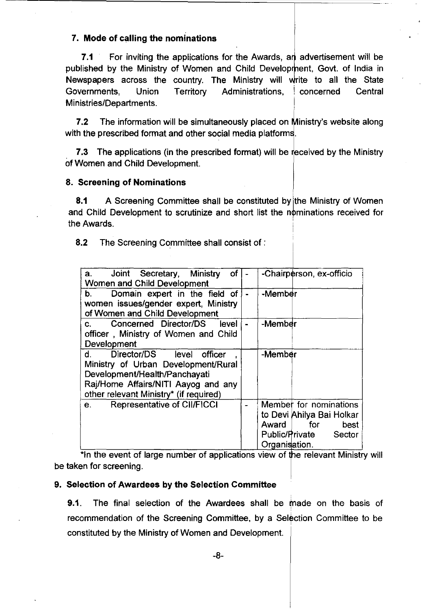### 7. Mode of calling the nominations

7.1 For inviting the applications for the Awards, an advertisement will be published by the Ministry of Women and Child Development, Govt. of India in Newspapers across the country. The Ministry will write to all the State Governments, Union Territory Administrations, ! concerned Central Ministries/Departments.

7.2 The information will be simultaneously placed on Ministry's website along with the prescribed format and other social media platforms.

7.3 The applications (in the prescribed format) will be received by the Ministry of Women and Child Development.

#### 8. Screening of Nominations

8.1 A Screening Committee shall be constituted by the Ministry of Women and Child Development to scrutinize and short list the nominations received for I the Awards.

,

I

8.2 The Screening Committee shall consist of :

| Joint Secretary, Ministry<br>of<br>a.<br>Women and Child Development                                                                                                                       |  | -Chairperson, ex-officio                                                                                                |
|--------------------------------------------------------------------------------------------------------------------------------------------------------------------------------------------|--|-------------------------------------------------------------------------------------------------------------------------|
| Domain expert in the field of<br>b.<br>women issues/gender expert, Ministry<br>of Women and Child Development                                                                              |  | -Member                                                                                                                 |
| Concerned Director/DS<br>level<br>$\mathbf{C}$ .<br>officer, Ministry of Women and Child<br>Development                                                                                    |  | -Member                                                                                                                 |
| Director/DS level officer<br>d. l<br>Ministry of Urban Development/Rural<br>Development/Health/Panchayati<br>Raj/Home Affairs/NITI Aayog and any<br>other relevant Ministry* (if required) |  | -Member                                                                                                                 |
| <b>Representative of CII/FICCI</b><br>e.                                                                                                                                                   |  | Member for nominations<br>to Devi Ahilya Bai Holkar<br>Award I<br>for<br>best<br>Public/Private Sector<br>Organisation. |

\*In the event of large number of applications view of the relevant Ministry will be taken for screening.

#### 9. Selection of Awardees by the Selection Committee

**9.1.** The final selection of the Awardees shall be made on the basis of recommendation of the Screening Committee, by a Selection Committee to be constituted by the Ministry of Women and Development.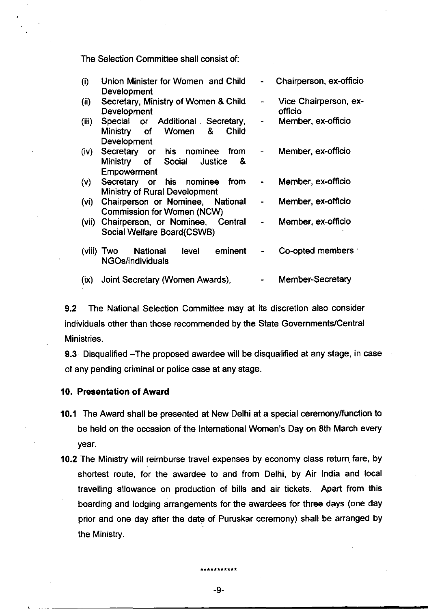The Selection Committee shall consist of:

| (i)    | Union Minister for Women and Child<br>Development                                      | $\overline{\phantom{0}}$ | Chairperson, ex-officio          |
|--------|----------------------------------------------------------------------------------------|--------------------------|----------------------------------|
| (ii)   | Secretary, Ministry of Women & Child<br>Development                                    | $\overline{\phantom{a}}$ | Vice Chairperson, ex-<br>officio |
| (iii)  | Special or Additional Secretary,<br><b>Child</b><br>Ministry of Women &<br>Development | $\blacksquare$           | Member, ex-officio               |
| (iv)   | Secretary or his nominee from<br>Ministry of Social Justice<br>- 8.<br>Empowerment     | $\overline{\phantom{0}}$ | Member, ex-officio               |
| (V)    | from<br>Secretary or his nominee<br><b>Ministry of Rural Development</b>               | ٠                        | Member, ex-officio               |
| (vi)   | Chairperson or Nominee, National<br><b>Commission for Women (NCW)</b>                  | $\blacksquare$           | Member, ex-officio               |
| (vii)  | Chairperson, or Nominee, Central<br>Social Welfare Board(CSWB)                         | $\blacksquare$           | Member, ex-officio               |
| (viii) | National level eminent<br>Two<br><b>NGOs/individuals</b>                               |                          | Co-opted members                 |
| (ix)   | Joint Secretary (Women Awards),                                                        |                          | <b>Member-Secretary</b>          |

9.2 The National Selection Committee may at its discretion also consider individuals other than those recommended by the State Governments/Central Ministries.

9.3 Disqualified -The proposed awardee will be disqualified at any stage, in case of any pending criminal or police case at any stage.

### 10. Presentation of Award

- 10.1 The Award shall be presented at New Delhi at a special ceremony/function to be held on the occasion of the International Women's Day on 8th March every year.
- 10.2 The Ministry will reimburse travel expenses by economy class return fare, by shortest route, for the awardee to and from Delhi, by Air India and local travelling allowance on production of bills and air tickets. Apart from this boarding and lodging arrangements for the awardees for three days (one day prior and one day after the date of Puruskar ceremony) shall be arranged by the Ministry.

-9-

**\*\*\*\*\*\*\*\*\*\*\***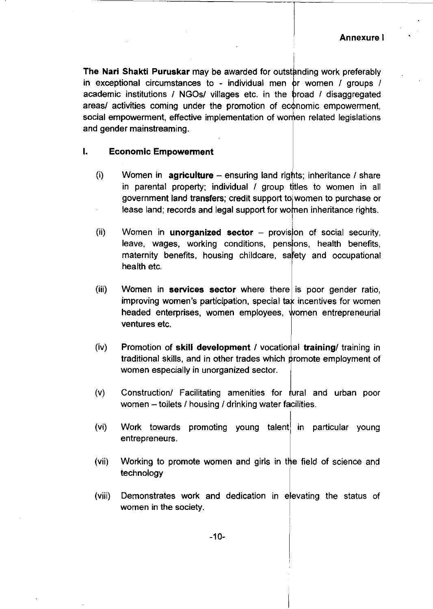**The Nari Shakti Puruskar** may be awarded for outstanding work preferably in exceptional circumstances to - individual men  $\sigma$  women / groups / academic institutions / NGOs/ villages etc. in the broad / disaggregated areas/ activities coming under the promotion of economic empowerment, social empowerment, effective implementation of women related legislations and gender mainstreaming.

#### **I. Economic Empowerment**

- $(i)$  Women in **agriculture** ensuring land rights; inheritance *I* share in parental property; individual / group titles to women in all government land transfers; credit support tol women to purchase or lease land; records and legal support for women inheritance rights.
- i (ii) Women in **unorganized sector** – provision of social security, leave, wages, working conditions, pensions, health benefits, maternity benefits, housing childcare, safety and occupational health etc.
- (iii) Women in **services sector** where there is poor gender ratio, improving women's participation, special tax incentives for women headed enterprises, women employees, women entrepreneurial ventures etc.
- (iv) Promotion of **skill development** / vocational **training**/ training in traditional skills, and in other trades which promote employment of women especially in unorganized sector.
- $(v)$  Construction/ Facilitating amenities for  $\frac{1}{r}$  ural and urban poor women  $-$  toilets / housing / drinking water facilities.
- $(vi)$  Work towards promoting young talent in particular young entrepreneurs.
- (vii) Working to promote women and girls in the field of science and technology
- (viii) Demonstrates work and dedication in elevating the status of women in the society.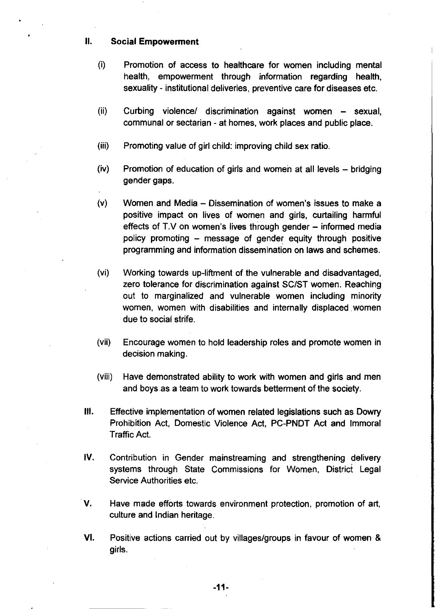#### II. Social **Empowerment**

- (i) Promotion of access to healthcare for women including mental health, empowerment through information regarding health, sexuality - institutional deliveries, preventive care for diseases etc.
- (ii) Curbing violence/ discrimination against women sexual, communal or sectarian - at homes, work places and public place.
- (iii) Promoting value of girl child: improving child sex ratio.
- (iv) Promotion of education of girls and women at all levels bridging gender gaps.
- (v) Women and Media Dissemination of women's issues to make a positive impact on lives of women and girls, curtailing harmful effects of T.V on women's lives through gender  $-$  informed media policy promoting - message of gender equity through positive programming and information dissemination on laws and schemes.
- (vi) Working towards up-liftment of the vulnerable and disadvantaged, zero tolerance for discrimination against SC/ST women. Reaching out to marginalized and vulnerable women including minority women, women with disabilities and internally displaced. women due to social strife.
- (vii) Encourage women to hold leadership roles and promote women in decision making.
- (viii) Have demonstrated ability to work with women and girls and men and boys as a team to work towards betterment of the society.
- III. Effective implementation of women related legislations such as Dowry Prohibition Act, Domestic Violence Act, PC-PNDT Act and Immoral Traffic Act.
- IV. Contribution in Gender mainstreaming and strengthening delivery systems through State Commissions for Women, District Legal Service Authorities etc.
- V. Have made efforts towards environment protection, promotion of art, culture and Indian heritage.
- VI. Positive actions carried out by villages/groups in favour of women & girls.

-11-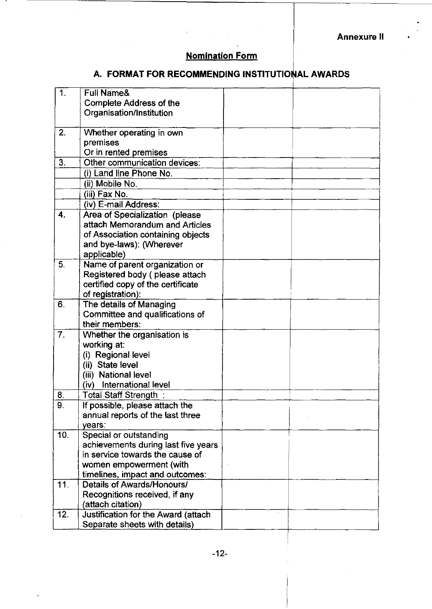.

# Nomination Form

## A. FORMAT FOR RECOMMENDING INSTITUTIONAL AWARDS

| 1.               | Full Name&                             |  |
|------------------|----------------------------------------|--|
|                  | <b>Complete Address of the</b>         |  |
|                  | Organisation/Institution               |  |
|                  |                                        |  |
| 2.               | Whether operating in own               |  |
|                  | premises                               |  |
|                  | Or in rented premises                  |  |
| 3.               | Other communication devices:           |  |
|                  | (i) Land line Phone No.                |  |
|                  | (ii) Mobile No.                        |  |
|                  | (iii) Fax No.                          |  |
|                  | (iv) E-mail Address:                   |  |
| 4.               | Area of Specialization (please         |  |
|                  | attach Memorandum and Articles         |  |
|                  | of Association containing objects      |  |
|                  | and bye-laws): (Wherever               |  |
|                  | applicable)                            |  |
| 5.               | Name of parent organization or         |  |
|                  | Registered body (please attach         |  |
|                  | certified copy of the certificate      |  |
|                  | of registration):                      |  |
| 6.               | The details of Managing                |  |
|                  | Committee and qualifications of        |  |
|                  | their members:                         |  |
| $\overline{7}$ . | Whether the organisation is            |  |
|                  | working at:                            |  |
|                  | (i) Regional level<br>(ii) State level |  |
|                  | (iii) National level                   |  |
|                  | International level<br>(iv)            |  |
| 8.               | Total Staff Strength:                  |  |
| ٥                | If possible, please attach the         |  |
| o.               | annual reports of the last three       |  |
|                  | years:                                 |  |
| 10.              | Special or outstanding                 |  |
|                  | achievements during last five years    |  |
|                  | in service towards the cause of        |  |
|                  | women empowerment (with                |  |
|                  | timelines, impact and outcomes:        |  |
| 11.              | Details of Awards/Honours/             |  |
|                  | Recognitions received, if any          |  |
|                  | (attach citation)                      |  |
| 12.              | Justification for the Award (attach    |  |
|                  | Separate sheets with details)          |  |
|                  |                                        |  |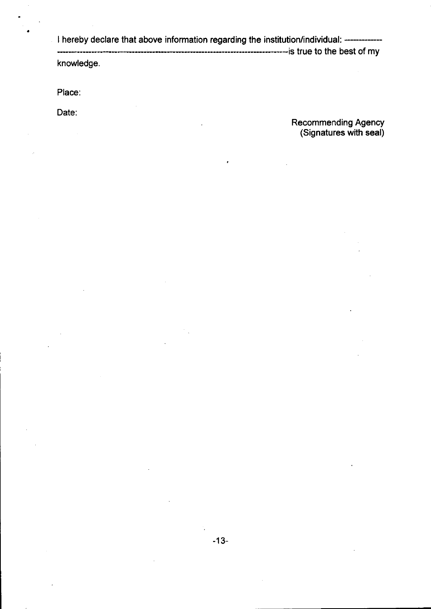I hereby declare that above information regarding the institution/individual: -----------------------------------------------------------------------------------is true to the best of my knowledge.

Place:

•

Date:

Recommending Agency (Signatures with seal)